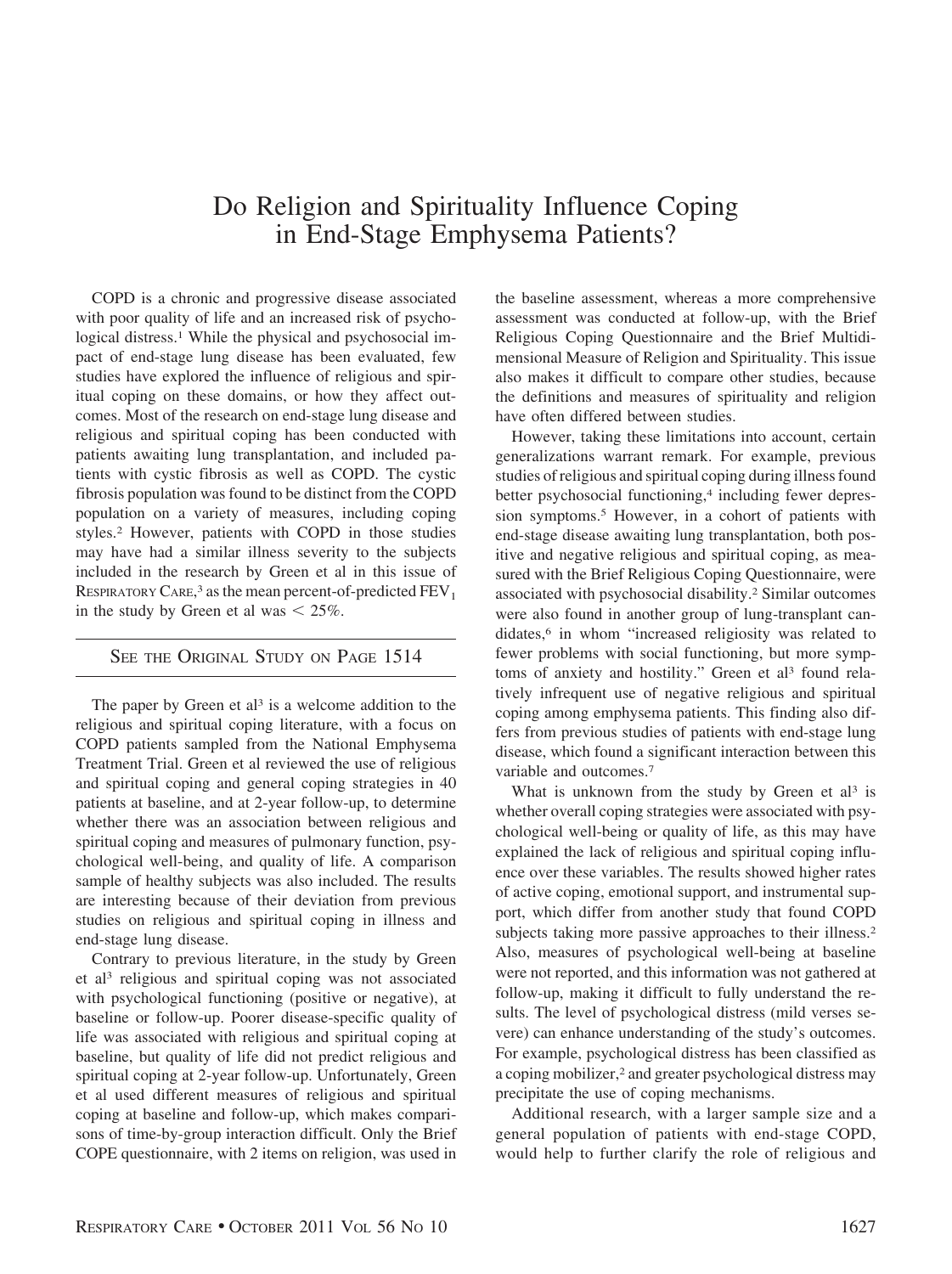## Do Religion and Spirituality Influence Coping in End-Stage Emphysema Patients?

COPD is a chronic and progressive disease associated with poor quality of life and an increased risk of psychological distress.<sup>1</sup> While the physical and psychosocial impact of end-stage lung disease has been evaluated, few studies have explored the influence of religious and spiritual coping on these domains, or how they affect outcomes. Most of the research on end-stage lung disease and religious and spiritual coping has been conducted with patients awaiting lung transplantation, and included patients with cystic fibrosis as well as COPD. The cystic fibrosis population was found to be distinct from the COPD population on a variety of measures, including coping styles.2 However, patients with COPD in those studies may have had a similar illness severity to the subjects included in the research by Green et al in this issue of RESPIRATORY CARE,<sup>3</sup> as the mean percent-of-predicted  $\rm FEV_1$ in the study by Green et al was  $\leq 25\%$ .

## SEE THE ORIGINAL STUDY ON PAGE 1514

The paper by Green et  $al<sup>3</sup>$  is a welcome addition to the religious and spiritual coping literature, with a focus on COPD patients sampled from the National Emphysema Treatment Trial. Green et al reviewed the use of religious and spiritual coping and general coping strategies in 40 patients at baseline, and at 2-year follow-up, to determine whether there was an association between religious and spiritual coping and measures of pulmonary function, psychological well-being, and quality of life. A comparison sample of healthy subjects was also included. The results are interesting because of their deviation from previous studies on religious and spiritual coping in illness and end-stage lung disease.

Contrary to previous literature, in the study by Green et al3 religious and spiritual coping was not associated with psychological functioning (positive or negative), at baseline or follow-up. Poorer disease-specific quality of life was associated with religious and spiritual coping at baseline, but quality of life did not predict religious and spiritual coping at 2-year follow-up. Unfortunately, Green et al used different measures of religious and spiritual coping at baseline and follow-up, which makes comparisons of time-by-group interaction difficult. Only the Brief COPE questionnaire, with 2 items on religion, was used in

the baseline assessment, whereas a more comprehensive assessment was conducted at follow-up, with the Brief Religious Coping Questionnaire and the Brief Multidimensional Measure of Religion and Spirituality. This issue also makes it difficult to compare other studies, because the definitions and measures of spirituality and religion have often differed between studies.

However, taking these limitations into account, certain generalizations warrant remark. For example, previous studies of religious and spiritual coping during illness found better psychosocial functioning,<sup>4</sup> including fewer depression symptoms.5 However, in a cohort of patients with end-stage disease awaiting lung transplantation, both positive and negative religious and spiritual coping, as measured with the Brief Religious Coping Questionnaire, were associated with psychosocial disability.2 Similar outcomes were also found in another group of lung-transplant candidates,<sup>6</sup> in whom "increased religiosity was related to fewer problems with social functioning, but more symptoms of anxiety and hostility." Green et al<sup>3</sup> found relatively infrequent use of negative religious and spiritual coping among emphysema patients. This finding also differs from previous studies of patients with end-stage lung disease, which found a significant interaction between this variable and outcomes.7

What is unknown from the study by Green et al<sup>3</sup> is whether overall coping strategies were associated with psychological well-being or quality of life, as this may have explained the lack of religious and spiritual coping influence over these variables. The results showed higher rates of active coping, emotional support, and instrumental support, which differ from another study that found COPD subjects taking more passive approaches to their illness.<sup>2</sup> Also, measures of psychological well-being at baseline were not reported, and this information was not gathered at follow-up, making it difficult to fully understand the results. The level of psychological distress (mild verses severe) can enhance understanding of the study's outcomes. For example, psychological distress has been classified as a coping mobilizer,<sup>2</sup> and greater psychological distress may precipitate the use of coping mechanisms.

Additional research, with a larger sample size and a general population of patients with end-stage COPD, would help to further clarify the role of religious and